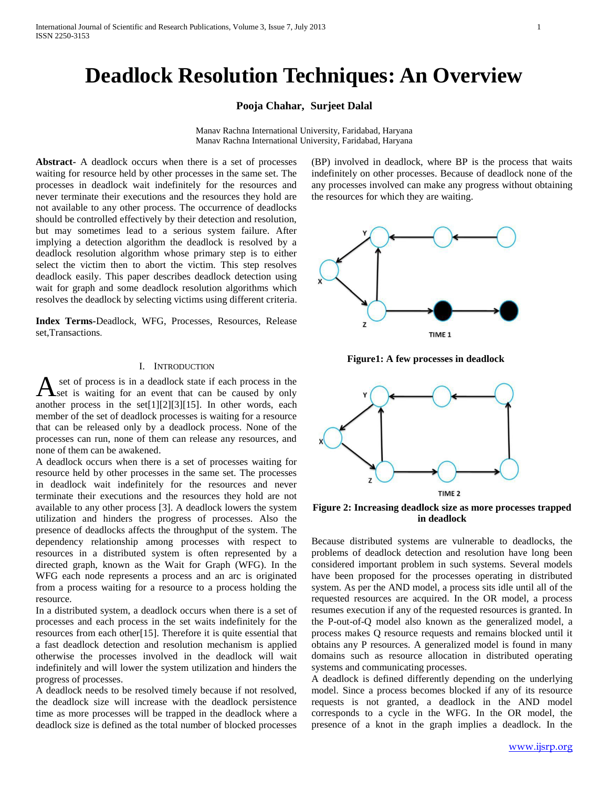# **Deadlock Resolution Techniques: An Overview**

#### **Pooja Chahar, Surjeet Dalal**

Manav Rachna International University, Faridabad, Haryana Manav Rachna International University, Faridabad, Haryana

**Abstract-** A deadlock occurs when there is a set of processes waiting for resource held by other processes in the same set. The processes in deadlock wait indefinitely for the resources and never terminate their executions and the resources they hold are not available to any other process. The occurrence of deadlocks should be controlled effectively by their detection and resolution, but may sometimes lead to a serious system failure. After implying a detection algorithm the deadlock is resolved by a deadlock resolution algorithm whose primary step is to either select the victim then to abort the victim. This step resolves deadlock easily. This paper describes deadlock detection using wait for graph and some deadlock resolution algorithms which resolves the deadlock by selecting victims using different criteria.

**Index Terms-**Deadlock, WFG, Processes, Resources, Release set,Transactions.

### I. INTRODUCTION

set of process is in a deadlock state if each process in the set is waiting for an event that can be caused by only A set of process is in a deadlock state if each process in the set is waiting for an event that can be caused by only another process in the set[1][2][3][15]. In other words, each member of the set of deadlock processes is waiting for a resource that can be released only by a deadlock process. None of the processes can run, none of them can release any resources, and none of them can be awakened.

A deadlock occurs when there is a set of processes waiting for resource held by other processes in the same set. The processes in deadlock wait indefinitely for the resources and never terminate their executions and the resources they hold are not available to any other process [3]. A deadlock lowers the system utilization and hinders the progress of processes. Also the presence of deadlocks affects the throughput of the system. The dependency relationship among processes with respect to resources in a distributed system is often represented by a directed graph, known as the Wait for Graph (WFG). In the WFG each node represents a process and an arc is originated from a process waiting for a resource to a process holding the resource.

In a distributed system, a deadlock occurs when there is a set of processes and each process in the set waits indefinitely for the resources from each other[15]. Therefore it is quite essential that a fast deadlock detection and resolution mechanism is applied otherwise the processes involved in the deadlock will wait indefinitely and will lower the system utilization and hinders the progress of processes.

A deadlock needs to be resolved timely because if not resolved, the deadlock size will increase with the deadlock persistence time as more processes will be trapped in the deadlock where a deadlock size is defined as the total number of blocked processes

(BP) involved in deadlock, where BP is the process that waits indefinitely on other processes. Because of deadlock none of the any processes involved can make any progress without obtaining the resources for which they are waiting.



**Figure1: A few processes in deadlock**



**Figure 2: Increasing deadlock size as more processes trapped in deadlock**

Because distributed systems are vulnerable to deadlocks, the problems of deadlock detection and resolution have long been considered important problem in such systems. Several models have been proposed for the processes operating in distributed system. As per the AND model, a process sits idle until all of the requested resources are acquired. In the OR model, a process resumes execution if any of the requested resources is granted. In the P-out-of-Q model also known as the generalized model, a process makes Q resource requests and remains blocked until it obtains any P resources. A generalized model is found in many domains such as resource allocation in distributed operating systems and communicating processes.

A deadlock is defined differently depending on the underlying model. Since a process becomes blocked if any of its resource requests is not granted, a deadlock in the AND model corresponds to a cycle in the WFG. In the OR model, the presence of a knot in the graph implies a deadlock. In the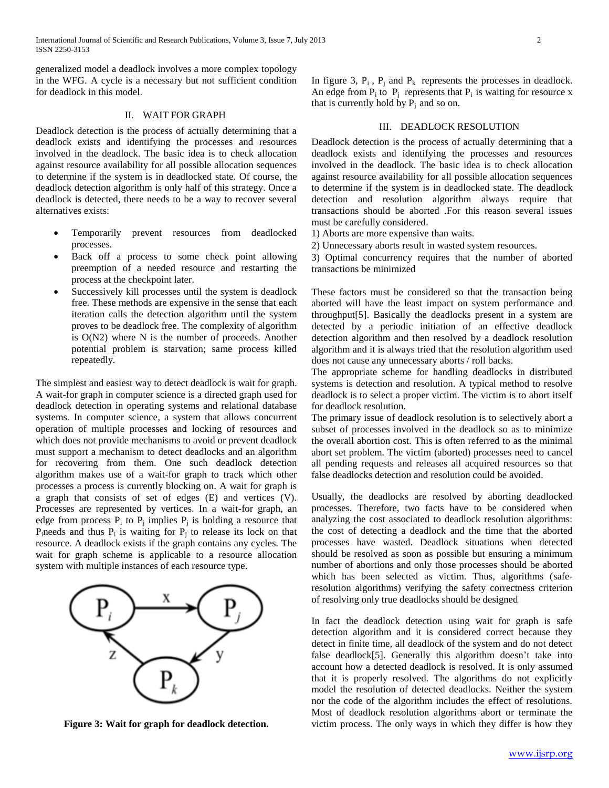International Journal of Scientific and Research Publications, Volume 3, Issue 7, July 2013 2 ISSN 2250-3153

generalized model a deadlock involves a more complex topology in the WFG. A cycle is a necessary but not sufficient condition for deadlock in this model.

## II. WAIT FOR GRAPH

Deadlock detection is the process of actually determining that a deadlock exists and identifying the processes and resources involved in the deadlock. The basic idea is to check allocation against resource availability for all possible allocation sequences to determine if the system is in deadlocked state. Of course, the deadlock detection algorithm is only half of this strategy. Once a deadlock is detected, there needs to be a way to recover several alternatives exists:

- Temporarily prevent resources from deadlocked processes.
- Back off a process to some check point allowing preemption of a needed resource and restarting the process at the checkpoint later.
- Successively kill processes until the system is deadlock free. These methods are expensive in the sense that each iteration calls the detection algorithm until the system proves to be deadlock free. The complexity of algorithm is O(N2) where N is the number of proceeds. Another potential problem is starvation; same process killed repeatedly.

The simplest and easiest way to detect deadlock is wait for graph. A wait-for graph in computer science is a directed graph used for deadlock detection in operating systems and relational database systems. In computer science, a system that allows concurrent operation of multiple processes and locking of resources and which does not provide mechanisms to avoid or prevent deadlock must support a mechanism to detect deadlocks and an algorithm for recovering from them. One such deadlock detection algorithm makes use of a wait-for graph to track which other processes a process is currently blocking on. A wait for graph is a graph that consists of set of edges (E) and vertices (V). Processes are represented by vertices. In a wait-for graph, an edge from process  $P_i$  to  $P_j$  implies  $P_j$  is holding a resource that P<sub>i</sub>needs and thus  $P_i$  is waiting for  $P_j$  to release its lock on that resource. A deadlock exists if the graph contains any cycles. The wait for graph scheme is applicable to a resource allocation system with multiple instances of each resource type.



**Figure 3: Wait for graph for deadlock detection.**

In figure 3,  $P_i$ ,  $P_i$  and  $P_k$  represents the processes in deadlock. An edge from  $P_i$  to  $P_j$  represents that  $P_i$  is waiting for resource x that is currently hold by  $P_i$  and so on.

### III. DEADLOCK RESOLUTION

Deadlock detection is the process of actually determining that a deadlock exists and identifying the processes and resources involved in the deadlock. The basic idea is to check allocation against resource availability for all possible allocation sequences to determine if the system is in deadlocked state. The deadlock detection and resolution algorithm always require that transactions should be aborted .For this reason several issues must be carefully considered.

1) Aborts are more expensive than waits.

2) Unnecessary aborts result in wasted system resources.

3) Optimal concurrency requires that the number of aborted transactions be minimized

These factors must be considered so that the transaction being aborted will have the least impact on system performance and throughput[5]. Basically the deadlocks present in a system are detected by a periodic initiation of an effective deadlock detection algorithm and then resolved by a deadlock resolution algorithm and it is always tried that the resolution algorithm used does not cause any unnecessary aborts / roll backs.

The appropriate scheme for handling deadlocks in distributed systems is detection and resolution. A typical method to resolve deadlock is to select a proper victim. The victim is to abort itself for deadlock resolution.

The primary issue of deadlock resolution is to selectively abort a subset of processes involved in the deadlock so as to minimize the overall abortion cost. This is often referred to as the minimal abort set problem. The victim (aborted) processes need to cancel all pending requests and releases all acquired resources so that false deadlocks detection and resolution could be avoided.

Usually, the deadlocks are resolved by aborting deadlocked processes. Therefore, two facts have to be considered when analyzing the cost associated to deadlock resolution algorithms: the cost of detecting a deadlock and the time that the aborted processes have wasted. Deadlock situations when detected should be resolved as soon as possible but ensuring a minimum number of abortions and only those processes should be aborted which has been selected as victim. Thus, algorithms (saferesolution algorithms) verifying the safety correctness criterion of resolving only true deadlocks should be designed

In fact the deadlock detection using wait for graph is safe detection algorithm and it is considered correct because they detect in finite time, all deadlock of the system and do not detect false deadlock[5]. Generally this algorithm doesn't take into account how a detected deadlock is resolved. It is only assumed that it is properly resolved. The algorithms do not explicitly model the resolution of detected deadlocks. Neither the system nor the code of the algorithm includes the effect of resolutions. Most of deadlock resolution algorithms abort or terminate the victim process. The only ways in which they differ is how they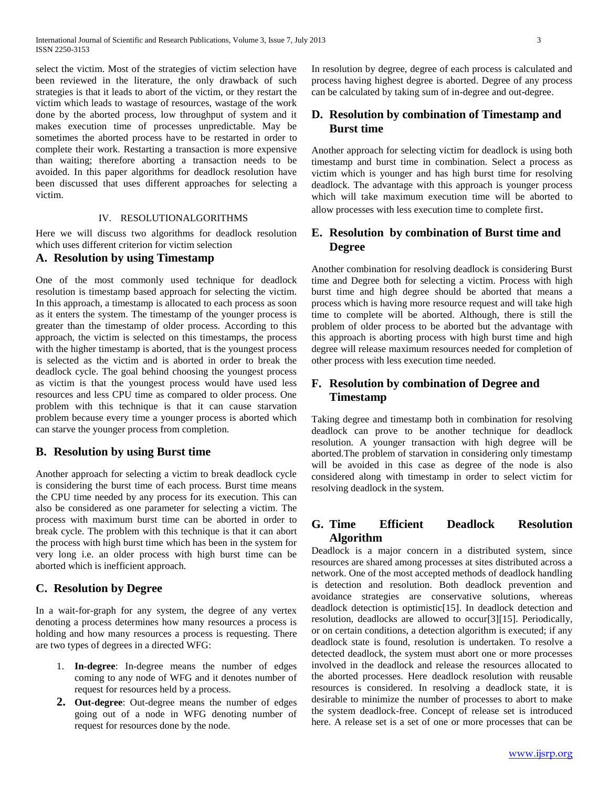select the victim. Most of the strategies of victim selection have been reviewed in the literature, the only drawback of such strategies is that it leads to abort of the victim, or they restart the victim which leads to wastage of resources, wastage of the work done by the aborted process, low throughput of system and it makes execution time of processes unpredictable. May be sometimes the aborted process have to be restarted in order to complete their work. Restarting a transaction is more expensive than waiting; therefore aborting a transaction needs to be avoided. In this paper algorithms for deadlock resolution have been discussed that uses different approaches for selecting a victim.

### IV. RESOLUTIONALGORITHMS

Here we will discuss two algorithms for deadlock resolution which uses different criterion for victim selection

## **A. Resolution by using Timestamp**

One of the most commonly used technique for deadlock resolution is timestamp based approach for selecting the victim. In this approach, a timestamp is allocated to each process as soon as it enters the system. The timestamp of the younger process is greater than the timestamp of older process. According to this approach, the victim is selected on this timestamps, the process with the higher timestamp is aborted, that is the youngest process is selected as the victim and is aborted in order to break the deadlock cycle. The goal behind choosing the youngest process as victim is that the youngest process would have used less resources and less CPU time as compared to older process. One problem with this technique is that it can cause starvation problem because every time a younger process is aborted which can starve the younger process from completion.

### **B. Resolution by using Burst time**

Another approach for selecting a victim to break deadlock cycle is considering the burst time of each process. Burst time means the CPU time needed by any process for its execution. This can also be considered as one parameter for selecting a victim. The process with maximum burst time can be aborted in order to break cycle. The problem with this technique is that it can abort the process with high burst time which has been in the system for very long i.e. an older process with high burst time can be aborted which is inefficient approach.

### **C. Resolution by Degree**

In a wait-for-graph for any system, the degree of any vertex denoting a process determines how many resources a process is holding and how many resources a process is requesting. There are two types of degrees in a directed WFG:

- 1. **In-degree**: In-degree means the number of edges coming to any node of WFG and it denotes number of request for resources held by a process.
- **2. Out-degree**: Out-degree means the number of edges going out of a node in WFG denoting number of request for resources done by the node.

In resolution by degree, degree of each process is calculated and process having highest degree is aborted. Degree of any process can be calculated by taking sum of in-degree and out-degree.

## **D. Resolution by combination of Timestamp and Burst time**

Another approach for selecting victim for deadlock is using both timestamp and burst time in combination. Select a process as victim which is younger and has high burst time for resolving deadlock. The advantage with this approach is younger process which will take maximum execution time will be aborted to allow processes with less execution time to complete first.

## **E. Resolution by combination of Burst time and Degree**

Another combination for resolving deadlock is considering Burst time and Degree both for selecting a victim. Process with high burst time and high degree should be aborted that means a process which is having more resource request and will take high time to complete will be aborted. Although, there is still the problem of older process to be aborted but the advantage with this approach is aborting process with high burst time and high degree will release maximum resources needed for completion of other process with less execution time needed.

# **F. Resolution by combination of Degree and Timestamp**

Taking degree and timestamp both in combination for resolving deadlock can prove to be another technique for deadlock resolution. A younger transaction with high degree will be aborted.The problem of starvation in considering only timestamp will be avoided in this case as degree of the node is also considered along with timestamp in order to select victim for resolving deadlock in the system.

## **G. Time Efficient Deadlock Resolution Algorithm**

Deadlock is a major concern in a distributed system, since resources are shared among processes at sites distributed across a network. One of the most accepted methods of deadlock handling is detection and resolution. Both deadlock prevention and avoidance strategies are conservative solutions, whereas deadlock detection is optimistic[15]. In deadlock detection and resolution, deadlocks are allowed to occur[3][15]. Periodically, or on certain conditions, a detection algorithm is executed; if any deadlock state is found, resolution is undertaken. To resolve a detected deadlock, the system must abort one or more processes involved in the deadlock and release the resources allocated to the aborted processes. Here deadlock resolution with reusable resources is considered. In resolving a deadlock state, it is desirable to minimize the number of processes to abort to make the system deadlock-free. Concept of release set is introduced here. A release set is a set of one or more processes that can be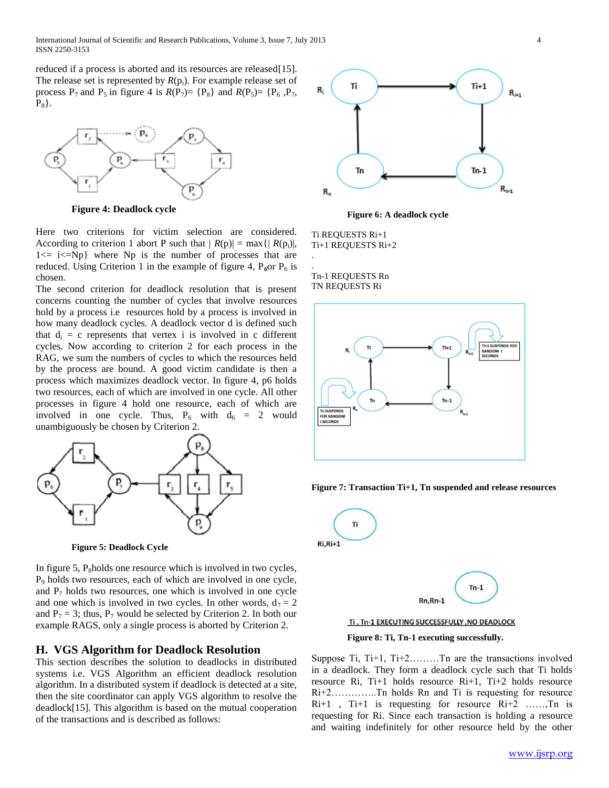reduced if a process is aborted and its resources are released[15]. The release set is represented by  $R(p_i)$ . For example release set of process  $P_7$  and  $P_5$  in figure 4 is  $R(P_7) = \{P_8\}$  and  $R(P_5) = \{P_6, P_7, P_8\}$  $P_8$ .



**Figure 4: Deadlock cycle**

Here two criterions for victim selection are considered. According to criterion 1 abort P such that  $|R(p)| = max\{|R(p_i)|,$  $1 \le i \le Np$  where Np is the number of processes that are reduced. Using Criterion 1 in the example of figure 4,  $P_6$ or  $P_6$  is chosen.

The second criterion for deadlock resolution that is present concerns counting the number of cycles that involve resources hold by a process i.e resources hold by a process is involved in how many deadlock cycles. A deadlock vector d is defined such that  $d_i = c$  represents that vertex i is involved in c different cycles. Now according to criterion 2 for each process in the RAG, we sum the numbers of cycles to which the resources held by the process are bound. A good victim candidate is then a process which maximizes deadlock vector. In figure 4, p6 holds two resources, each of which are involved in one cycle. All other processes in figure 4 hold one resource, each of which are involved in one cycle. Thus,  $P_6$  with  $d_6 = 2$  would unambiguously be chosen by Criterion 2.



**Figure 5: Deadlock Cycle**

In figure 5,  $P_8$ holds one resource which is involved in two cycles, P<sup>9</sup> holds two resources, each of which are involved in one cycle, and  $P_7$  holds two resources, one which is involved in one cycle and one which is involved in two cycles. In other words,  $d_7 = 2$ and  $P_7 = 3$ ; thus,  $P_7$  would be selected by Criterion 2. In both our example RAGS, only a single process is aborted by Criterion 2.

#### **H. VGS Algorithm for Deadlock Resolution**

This section describes the solution to deadlocks in distributed systems i.e. VGS Algorithm an efficient deadlock resolution algorithm. In a distributed system if deadlock is detected at a site, then the site coordinator can apply VGS algorithm to resolve the deadlock[15]. This algorithm is based on the mutual cooperation of the transactions and is described as follows:



**Figure 6: A deadlock cycle**

Ti REQUESTS Ri+1 Ti+1 REQUESTS Ri+2

.

. Tn-1 REQUESTS Rn TN REQUESTS Ri







**Figure 8: Ti, Tn-1 executing successfully.**

Suppose Ti, Ti+1, Ti+2………Tn are the transactions involved in a deadlock. They form a deadlock cycle such that Ti holds resource Ri, Ti+1 holds resource Ri+1, Ti+2 holds resource Ri+2…………..Tn holds Rn and Ti is requesting for resource Ri+1 , Ti+1 is requesting for resource Ri+2 ……,Tn is requesting for Ri. Since each transaction is holding a resource and waiting indefinitely for other resource held by the other